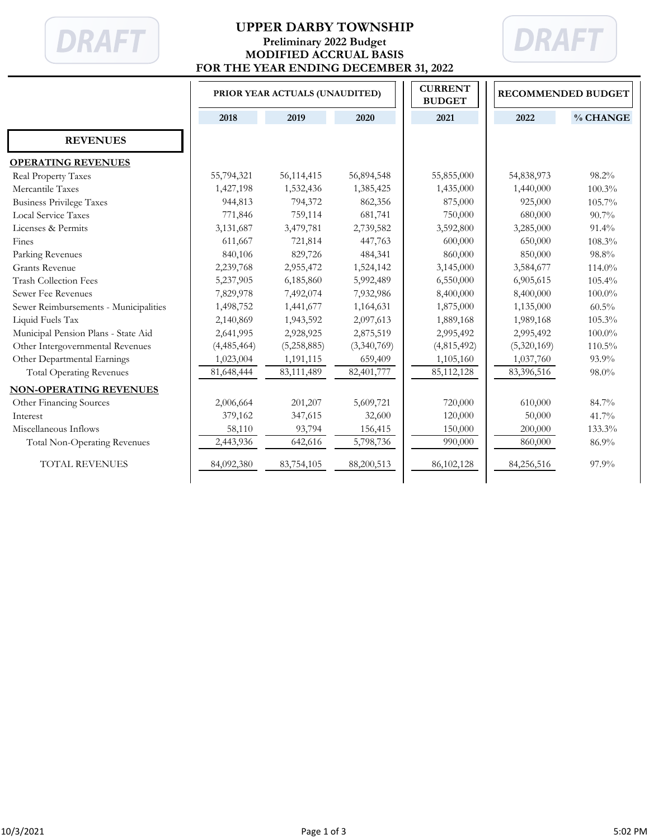

## **UPPER DARBY TOWNSHIP Preliminary 2022 Budget MODIFIED ACCRUAL BASIS FOR THE YEAR ENDING DECEMBER 31, 2022**



|                                       | PRIOR YEAR ACTUALS (UNAUDITED) |             |             | <b>CURRENT</b><br><b>BUDGET</b> | <b>RECOMMENDED BUDGET</b> |           |
|---------------------------------------|--------------------------------|-------------|-------------|---------------------------------|---------------------------|-----------|
|                                       | 2018                           | 2019        | 2020        | 2021                            | 2022                      | % CHANGE  |
| <b>REVENUES</b>                       |                                |             |             |                                 |                           |           |
| <b>OPERATING REVENUES</b>             |                                |             |             |                                 |                           |           |
| Real Property Taxes                   | 55,794,321                     | 56,114,415  | 56,894,548  | 55,855,000                      | 54,838,973                | 98.2%     |
| Mercantile Taxes                      | 1,427,198                      | 1,532,436   | 1,385,425   | 1,435,000                       | 1,440,000                 | 100.3%    |
| <b>Business Privilege Taxes</b>       | 944,813                        | 794,372     | 862,356     | 875,000                         | 925,000                   | 105.7%    |
| Local Service Taxes                   | 771,846                        | 759,114     | 681,741     | 750,000                         | 680,000                   | 90.7%     |
| Licenses & Permits                    | 3,131,687                      | 3,479,781   | 2,739,582   | 3,592,800                       | 3,285,000                 | $91.4\%$  |
| Fines                                 | 611,667                        | 721,814     | 447,763     | 600,000                         | 650,000                   | 108.3%    |
| Parking Revenues                      | 840,106                        | 829,726     | 484,341     | 860,000                         | 850,000                   | 98.8%     |
| <b>Grants Revenue</b>                 | 2,239,768                      | 2,955,472   | 1,524,142   | 3,145,000                       | 3,584,677                 | 114.0%    |
| <b>Trash Collection Fees</b>          | 5,237,905                      | 6,185,860   | 5,992,489   | 6,550,000                       | 6,905,615                 | 105.4%    |
| Sewer Fee Revenues                    | 7,829,978                      | 7,492,074   | 7,932,986   | 8,400,000                       | 8,400,000                 | $100.0\%$ |
| Sewer Reimbursements - Municipalities | 1,498,752                      | 1,441,677   | 1,164,631   | 1,875,000                       | 1,135,000                 | $60.5\%$  |
| Liquid Fuels Tax                      | 2,140,869                      | 1,943,592   | 2,097,613   | 1,889,168                       | 1,989,168                 | 105.3%    |
| Municipal Pension Plans - State Aid   | 2,641,995                      | 2,928,925   | 2,875,519   | 2,995,492                       | 2,995,492                 | 100.0%    |
| Other Intergovernmental Revenues      | (4,485,464)                    | (5,258,885) | (3,340,769) | (4,815,492)                     | (5,320,169)               | 110.5%    |
| Other Departmental Earnings           | 1,023,004                      | 1,191,115   | 659,409     | 1,105,160                       | 1,037,760                 | 93.9%     |
| <b>Total Operating Revenues</b>       | 81,648,444                     | 83,111,489  | 82,401,777  | 85, 112, 128                    | 83,396,516                | 98.0%     |
| <b>NON-OPERATING REVENUES</b>         |                                |             |             |                                 |                           |           |
| Other Financing Sources               | 2,006,664                      | 201,207     | 5,609,721   | 720,000                         | 610,000                   | 84.7%     |
| Interest                              | 379,162                        | 347,615     | 32,600      | 120,000                         | 50,000                    | 41.7%     |
| Miscellaneous Inflows                 | 58,110                         | 93,794      | 156,415     | 150,000                         | 200,000                   | 133.3%    |
| <b>Total Non-Operating Revenues</b>   | 2,443,936                      | 642,616     | 5,798,736   | 990,000                         | 860,000                   | 86.9%     |
| TOTAL REVENUES                        | 84,092,380                     | 83,754,105  | 88,200,513  | 86,102,128                      | 84,256,516                | 97.9%     |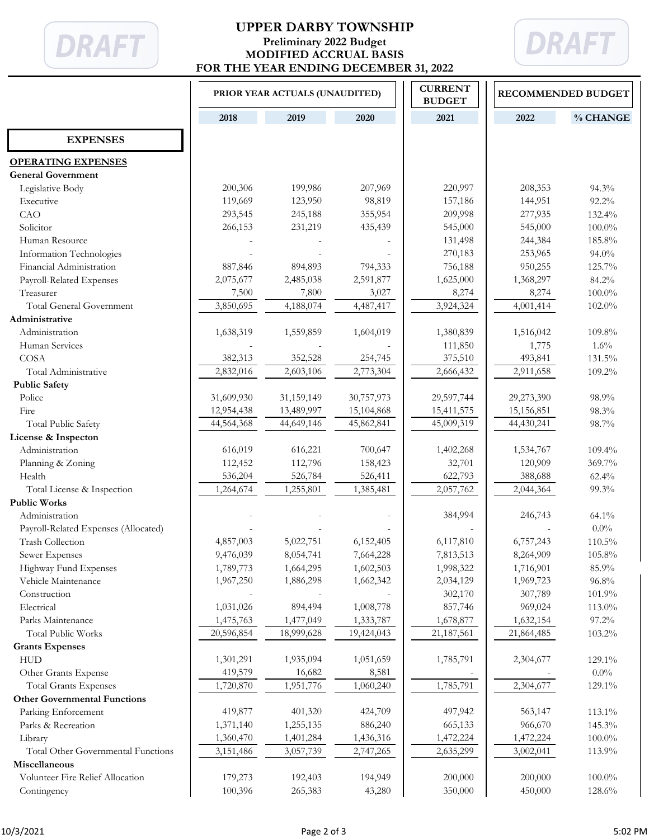

## **UPPER DARBY TOWNSHIP Preliminary 2022 Budget MODIFIED ACCRUAL BASIS FOR THE YEAR ENDING DECEMBER 31, 2022**



|                                      | PRIOR YEAR ACTUALS (UNAUDITED) |            |            | <b>CURRENT</b><br><b>BUDGET</b> | <b>RECOMMENDED BUDGET</b> |           |
|--------------------------------------|--------------------------------|------------|------------|---------------------------------|---------------------------|-----------|
|                                      | 2018                           | 2019       | 2020       | 2021                            | 2022                      | % CHANGE  |
| <b>EXPENSES</b>                      |                                |            |            |                                 |                           |           |
| <b>OPERATING EXPENSES</b>            |                                |            |            |                                 |                           |           |
| <b>General Government</b>            |                                |            |            |                                 |                           |           |
| Legislative Body                     | 200,306                        | 199,986    | 207,969    | 220,997                         | 208,353                   | $94.3\%$  |
| Executive                            | 119,669                        | 123,950    | 98,819     | 157,186                         | 144,951                   | 92.2%     |
| CAO                                  | 293,545                        | 245,188    | 355,954    | 209,998                         | 277,935                   | 132.4%    |
| Solicitor                            | 266,153                        | 231,219    | 435,439    | 545,000                         | 545,000                   | $100.0\%$ |
| Human Resource                       |                                |            |            | 131,498                         | 244,384                   | 185.8%    |
| Information Technologies             |                                |            |            | 270,183                         | 253,965                   | 94.0%     |
| Financial Administration             | 887,846                        | 894,893    | 794,333    | 756,188                         | 950,255                   | 125.7%    |
| Payroll-Related Expenses             | 2,075,677                      | 2,485,038  | 2,591,877  | 1,625,000                       | 1,368,297                 | 84.2%     |
| Treasurer                            | 7,500                          | 7,800      | 3,027      | 8,274                           | 8,274                     | $100.0\%$ |
| <b>Total General Government</b>      | 3,850,695                      | 4,188,074  | 4,487,417  | 3,924,324                       | 4,001,414                 | 102.0%    |
| Administrative                       |                                |            |            |                                 |                           |           |
| Administration                       | 1,638,319                      | 1,559,859  | 1,604,019  | 1,380,839                       | 1,516,042                 | 109.8%    |
| Human Services                       |                                |            |            | 111,850                         | 1,775                     | 1.6%      |
| COSA                                 | 382,313                        | 352,528    | 254,745    | 375,510                         | 493,841                   | 131.5%    |
| Total Administrative                 | 2,832,016                      | 2,603,106  | 2,773,304  | 2,666,432                       | 2,911,658                 | 109.2%    |
| <b>Public Safety</b>                 |                                |            |            |                                 |                           |           |
| Police                               | 31,609,930                     | 31,159,149 | 30,757,973 | 29,597,744                      | 29,273,390                | 98.9%     |
| Fire                                 | 12,954,438                     | 13,489,997 | 15,104,868 | 15,411,575                      | 15,156,851                | 98.3%     |
| Total Public Safety                  | 44,564,368                     | 44,649,146 | 45,862,841 | 45,009,319                      | 44,430,241                | 98.7%     |
| License & Inspecton                  |                                |            |            |                                 |                           |           |
| Administration                       | 616,019                        | 616,221    | 700,647    | 1,402,268                       | 1,534,767                 | 109.4%    |
| Planning & Zoning                    | 112,452                        | 112,796    | 158,423    | 32,701                          | 120,909                   | 369.7%    |
| Health                               | 536,204                        | 526,784    | 526,411    | 622,793                         | 388,688                   | 62.4%     |
| Total License & Inspection           | 1,264,674                      | 1,255,801  | 1,385,481  | 2,057,762                       | 2,044,364                 | 99.3%     |
| <b>Public Works</b>                  |                                |            |            |                                 |                           |           |
| Administration                       |                                |            |            | 384,994                         | 246,743                   | $64.1\%$  |
| Payroll-Related Expenses (Allocated) |                                |            |            |                                 |                           | $0.0\%$   |
| <b>Trash Collection</b>              | 4,857,003                      | 5,022,751  | 6,152,405  | 6,117,810                       | 6,757,243                 | 110.5%    |
| Sewer Expenses                       | 9,476,039                      | 8,054,741  | 7,664,228  | 7,813,513                       | 8,264,909                 | 105.8%    |
| Highway Fund Expenses                | 1,789,773                      | 1,664,295  | 1,602,503  | 1,998,322                       | 1,716,901                 | 85.9%     |
| Vehicle Maintenance                  | 1,967,250                      | 1,886,298  | 1,662,342  | 2,034,129                       | 1,969,723                 | 96.8%     |
| Construction                         |                                |            |            | 302,170                         | 307,789                   | 101.9%    |
| Electrical                           | 1,031,026                      | 894,494    | 1,008,778  | 857,746                         | 969,024                   | 113.0%    |
| Parks Maintenance                    | 1,475,763                      | 1,477,049  | 1,333,787  | 1,678,877                       | 1,632,154                 | 97.2%     |
| <b>Total Public Works</b>            | 20,596,854                     | 18,999,628 | 19,424,043 | 21,187,561                      | 21,864,485                | 103.2%    |
| <b>Grants Expenses</b>               |                                |            |            |                                 |                           |           |
| <b>HUD</b>                           | 1,301,291                      | 1,935,094  | 1,051,659  | 1,785,791                       | 2,304,677                 | 129.1%    |
| Other Grants Expense                 | 419,579                        | 16,682     | 8,581      |                                 |                           | $0.0\%$   |
| <b>Total Grants Expenses</b>         | 1,720,870                      | 1,951,776  | 1,060,240  | 1,785,791                       | 2,304,677                 | 129.1%    |
| <b>Other Governmental Functions</b>  |                                |            |            |                                 |                           |           |
| Parking Enforcement                  | 419,877                        | 401,320    | 424,709    | 497,942                         | 563,147                   | 113.1%    |
| Parks & Recreation                   | 1,371,140                      | 1,255,135  | 886,240    | 665,133                         | 966,670                   | 145.3%    |
| Library                              | 1,360,470                      | 1,401,284  | 1,436,316  | 1,472,224                       | 1,472,224                 | $100.0\%$ |
| Total Other Governmental Functions   | 3,151,486                      | 3,057,739  | 2,747,265  | 2,635,299                       | 3,002,041                 | 113.9%    |
| Miscellaneous                        |                                |            |            |                                 |                           |           |
| Volunteer Fire Relief Allocation     | 179,273                        | 192,403    | 194,949    | 200,000                         | 200,000                   | $100.0\%$ |
| Contingency                          | 100,396                        | 265,383    | 43,280     | 350,000                         | 450,000                   | 128.6%    |
|                                      |                                |            |            |                                 |                           |           |